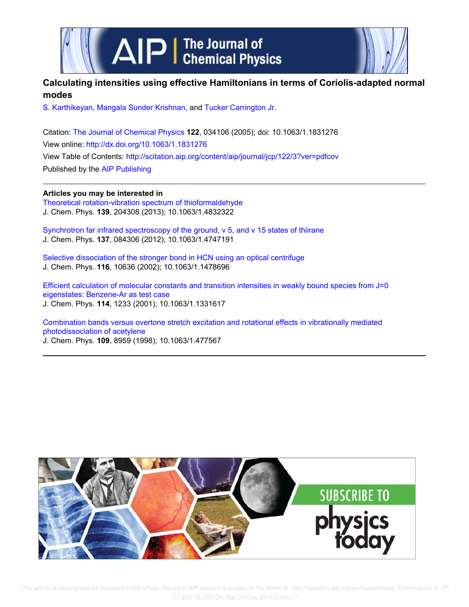



# **Calculating intensities using effective Hamiltonians in terms of Coriolis-adapted normal modes**

S. Karthikeyan, Mangala Sunder Krishnan, and Tucker Carrington Jr.

Citation: The Journal of Chemical Physics **122**, 034106 (2005); doi: 10.1063/1.1831276 View online: http://dx.doi.org/10.1063/1.1831276 View Table of Contents: http://scitation.aip.org/content/aip/journal/jcp/122/3?ver=pdfcov Published by the AIP Publishing

**Articles you may be interested in**

Theoretical rotation-vibration spectrum of thioformaldehyde J. Chem. Phys. **139**, 204308 (2013); 10.1063/1.4832322

Synchrotron far infrared spectroscopy of the ground, ν 5, and ν 15 states of thiirane J. Chem. Phys. **137**, 084306 (2012); 10.1063/1.4747191

Selective dissociation of the stronger bond in HCN using an optical centrifuge J. Chem. Phys. **116**, 10636 (2002); 10.1063/1.1478696

Efficient calculation of molecular constants and transition intensities in weakly bound species from J=0 eigenstates: Benzene-Ar as test case J. Chem. Phys. **114**, 1233 (2001); 10.1063/1.1331617

Combination bands versus overtone stretch excitation and rotational effects in vibrationally mediated photodissociation of acetylene J. Chem. Phys. **109**, 8959 (1998); 10.1063/1.477567

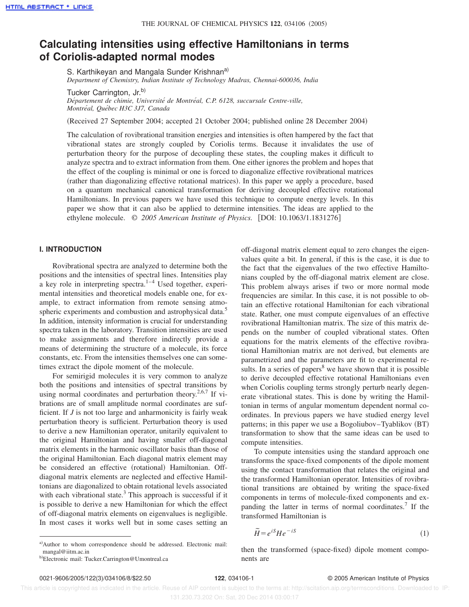# **Calculating intensities using effective Hamiltonians in terms of Coriolis-adapted normal modes**

S. Karthikeyan and Mangala Sunder Krishnan<sup>a)</sup> *Department of Chemistry, Indian Institute of Technology Madras, Chennai-600036, India*

Tucker Carrington, Jr.<sup>b)</sup>

*De´partement de chimie, Universite´ de Montre´al, C.P. 6128, succursale Centre-ville, Montre´al, Que´bec H3C 3J7, Canada*

(Received 27 September 2004; accepted 21 October 2004; published online 28 December 2004)

The calculation of rovibrational transition energies and intensities is often hampered by the fact that vibrational states are strongly coupled by Coriolis terms. Because it invalidates the use of perturbation theory for the purpose of decoupling these states, the coupling makes it difficult to analyze spectra and to extract information from them. One either ignores the problem and hopes that the effect of the coupling is minimal or one is forced to diagonalize effective rovibrational matrices (rather than diagonalizing effective rotational matrices). In this paper we apply a procedure, based on a quantum mechanical canonical transformation for deriving decoupled effective rotational Hamiltonians. In previous papers we have used this technique to compute energy levels. In this paper we show that it can also be applied to determine intensities. The ideas are applied to the ethylene molecule.  $\degree$  2005 American Institute of Physics. [DOI: 10.1063/1.1831276]

## **I. INTRODUCTION**

Rovibrational spectra are analyzed to determine both the positions and the intensities of spectral lines. Intensities play a key role in interpreting spectra. $1-4$  Used together, experimental intensities and theoretical models enable one, for example, to extract information from remote sensing atmospheric experiments and combustion and astrophysical data.<sup>5</sup> In addition, intensity information is crucial for understanding spectra taken in the laboratory. Transition intensities are used to make assignments and therefore indirectly provide a means of determining the structure of a molecule, its force constants, etc. From the intensities themselves one can sometimes extract the dipole moment of the molecule.

For semirigid molecules it is very common to analyze both the positions and intensities of spectral transitions by using normal coordinates and perturbation theory.<sup>2,6,7</sup> If vibrations are of small amplitude normal coordinates are sufficient. If *J* is not too large and anharmonicity is fairly weak perturbation theory is sufficient. Perturbation theory is used to derive a new Hamiltonian operator, unitarily equivalent to the original Hamiltonian and having smaller off-diagonal matrix elements in the harmonic oscillator basis than those of the original Hamiltonian. Each diagonal matrix element may be considered an effective (rotational) Hamiltonian. Offdiagonal matrix elements are neglected and effective Hamiltonians are diagonalized to obtain rotational levels associated with each vibrational state. $3$  This approach is successful if it is possible to derive a new Hamiltonian for which the effect of off-diagonal matrix elements on eigenvalues is negligible. In most cases it works well but in some cases setting an

off-diagonal matrix element equal to zero changes the eigenvalues quite a bit. In general, if this is the case, it is due to the fact that the eigenvalues of the two effective Hamiltonians coupled by the off-diagonal matrix element are close. This problem always arises if two or more normal mode frequencies are similar. In this case, it is not possible to obtain an effective rotational Hamiltonian for each vibrational state. Rather, one must compute eigenvalues of an effective rovibrational Hamiltonian matrix. The size of this matrix depends on the number of coupled vibrational states. Often equations for the matrix elements of the effective rovibrational Hamiltonian matrix are not derived, but elements are parametrized and the parameters are fit to experimental results. In a series of papers<sup>8</sup> we have shown that it is possible to derive decoupled effective rotational Hamiltonians even when Coriolis coupling terms strongly perturb nearly degenerate vibrational states. This is done by writing the Hamiltonian in terms of angular momentum dependent normal coordinates. In previous papers we have studied energy level patterns; in this paper we use a Bogoliubov–Tyablikov (BT) transformation to show that the same ideas can be used to compute intensities.

To compute intensities using the standard approach one transforms the space-fixed components of the dipole moment using the contact transformation that relates the original and the transformed Hamiltonian operator. Intensities of rovibrational transitions are obtained by writing the space-fixed components in terms of molecule-fixed components and expanding the latter in terms of normal coordinates.<sup>7</sup> If the transformed Hamiltonian is

$$
\tilde{H} = e^{iS} H e^{-iS} \tag{1}
$$

then the transformed (space-fixed) dipole moment components are

a)Author to whom correspondence should be addressed. Electronic mail: mangal@iitm.ac.in

b)Electronic mail: Tucker.Carrington@Umontreal.ca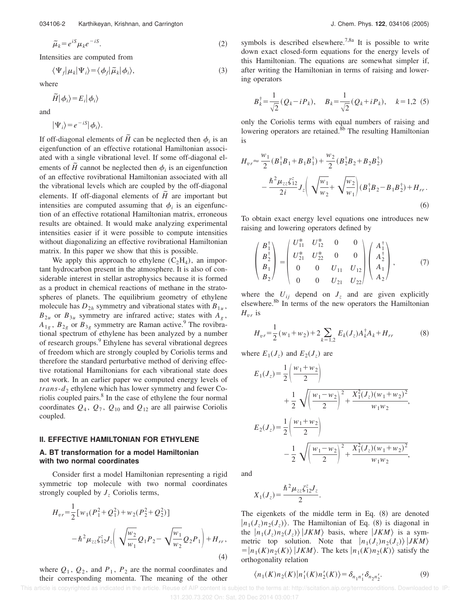$$
\tilde{\mu}_k = e^{iS} \mu_k e^{-iS}.
$$
\n(2)

Intensities are computed from

$$
\langle \Psi_f | \mu_k | \Psi_i \rangle = \langle \phi_f | \tilde{\mu}_k | \phi_i \rangle, \tag{3}
$$

where

$$
\tilde{H}|\phi_i\rangle\!=\!E_i|\phi_i\rangle
$$

and

$$
|\Psi_i\rangle = e^{-iS} |\phi_i\rangle.
$$

If off-diagonal elements of  $\tilde{H}$  can be neglected then  $\phi_i$  is an eigenfunction of an effective rotational Hamiltonian associated with a single vibrational level. If some off-diagonal elements of  $\tilde{H}$  cannot be neglected then  $\phi_i$  is an eigenfunction of an effective rovibrational Hamiltonian associated with all the vibrational levels which are coupled by the off-diagonal elements. If off-diagonal elements of  $\tilde{H}$  are important but intensities are computed assuming that  $\phi_i$  is an eigenfunction of an effective rotational Hamiltonian matrix, erroneous results are obtained. It would make analyzing experimental intensities easier if it were possible to compute intensities without diagonalizing an effective rovibrational Hamiltonian matrix. In this paper we show that this is possible.

We apply this approach to ethylene  $(C_2H_4)$ , an important hydrocarbon present in the atmosphere. It is also of considerable interest in stellar astrophysics because it is formed as a product in chemical reactions of methane in the stratospheres of planets. The equilibrium geometry of ethylene molecule has  $D_{2h}$  symmetry and vibrational states with  $B_{1u}$ ,  $B_{2u}$  or  $B_{3u}$  symmetry are infrared active; states with  $A_g$ ,  $A_{1g}$ ,  $B_{2g}$  or  $B_{3g}$  symmetry are Raman active.<sup>9</sup> The rovibrational spectrum of ethylene has been analyzed by a number of research groups.<sup>9</sup> Ethylene has several vibrational degrees of freedom which are strongly coupled by Coriolis terms and therefore the standard perturbative method of deriving effective rotational Hamiltonians for each vibrational state does not work. In an earlier paper we computed energy levels of  $trans-d_2$  ethylene which has lower symmetry and fewer Coriolis coupled pairs.<sup>8</sup> In the case of ethylene the four normal coordinates  $Q_4$ ,  $Q_7$ ,  $Q_{10}$  and  $Q_{12}$  are all pairwise Coriolis coupled.

### **II. EFFECTIVE HAMILTONIAN FOR ETHYLENE**

#### **A. BT transformation for a model Hamiltonian with two normal coordinates**

Consider first a model Hamiltonian representing a rigid symmetric top molecule with two normal coordinates strongly coupled by  $J<sub>z</sub>$  Coriolis terms,

$$
H_{vr} = \frac{1}{2} [w_1 (P_1^2 + Q_1^2) + w_2 (P_2^2 + Q_2^2)]
$$
  

$$
- \hbar^2 \mu_{zz} \zeta_{12}^z J_z \left( \sqrt{\frac{w_2}{w_1}} Q_1 P_2 - \sqrt{\frac{w_1}{w_2}} Q_2 P_1 \right) + H_{rr},
$$
  
(4)

where  $Q_1$ ,  $Q_2$ , and  $P_1$ ,  $P_2$  are the normal coordinates and their corresponding momenta. The meaning of the other symbols is described elsewhere.<sup>7,8a</sup> It is possible to write down exact closed-form equations for the energy levels of this Hamiltonian. The equations are somewhat simpler if, after writing the Hamiltonian in terms of raising and lowering operators

$$
B_k^{\dagger} = \frac{1}{\sqrt{2}} (Q_k - iP_k), \quad B_k = \frac{1}{\sqrt{2}} (Q_k + iP_k), \quad k = 1,2 \tag{5}
$$

only the Coriolis terms with equal numbers of raising and lowering operators are retained. ${}^{8b}$  The resulting Hamiltonian is

$$
H_{vr} \approx \frac{w_1}{2} (B_1^{\dagger} B_1 + B_1 B_1^{\dagger}) + \frac{w_2}{2} (B_2^{\dagger} B_2 + B_2 B_2^{\dagger})
$$
  

$$
- \frac{\hbar^2 \mu_{zz} \zeta_{12}^z}{2i} J_z \left( \sqrt{\frac{w_1}{w_2}} + \sqrt{\frac{w_2}{w_1}} \right) (B_1^{\dagger} B_2 - B_1 B_2^{\dagger}) + H_{rr}.
$$
  
(6)

To obtain exact energy level equations one introduces new raising and lowering operators defined by

$$
\begin{pmatrix}\nB_1^{\dagger} \\
B_2^{\dagger} \\
B_1 \\
B_2\n\end{pmatrix} = \begin{pmatrix}\nU_{11}^* & U_{12}^* & 0 & 0 \\
U_{21}^* & U_{22}^* & 0 & 0 \\
0 & 0 & U_{11} & U_{12} \\
0 & 0 & U_{21} & U_{22}\n\end{pmatrix} \begin{pmatrix}\nA_1^{\dagger} \\
A_2^{\dagger} \\
A_1 \\
A_2\n\end{pmatrix},
$$
\n(7)

where the  $U_{ij}$  depend on  $J_z$  and are given explicitly elsewhere.<sup>8b</sup> In terms of the new operators the Hamiltonian  $H_{vr}$  is

$$
H_{vr} = \frac{1}{2}(w_1 + w_2) + 2\sum_{k=1,2} E_k(J_z)A_k^{\dagger}A_k + H_{rr}
$$
 (8)

where  $E_1(J_z)$  and  $E_2(J_z)$  are

$$
E_1(J_z) = \frac{1}{2} \left( \frac{w_1 + w_2}{2} \right)
$$
  
+ 
$$
\frac{1}{2} \sqrt{\left( \frac{w_1 - w_2}{2} \right)^2 + \frac{X_1^2(J_z)(w_1 + w_2)^2}{w_1 w_2}},
$$
  

$$
E_2(J_z) = \frac{1}{2} \left( \frac{w_1 + w_2}{2} \right)
$$
  
- 
$$
\frac{1}{2} \sqrt{\left( \frac{w_1 - w_2}{2} \right)^2 + \frac{X_1^2(J_z)(w_1 + w_2)^2}{w_1 w_2}},
$$

and

$$
X_1(J_z) = \frac{\hbar^2 \mu_{zz} \zeta_{12}^z J_z}{2}.
$$

The eigenkets of the middle term in Eq.  $(8)$  are denoted  $|n_1(J_z)n_2(J_z)\rangle$ . The Hamiltonian of Eq. (8) is diagonal in the  $|n_1(J_z)n_2(J_z)\rangle$   $|JKM\rangle$  basis, where  $|JKM\rangle$  is a symmetric top solution. Note that  $|n_1(J_z)n_2(J_z)\rangle | JKM\rangle$  $=$   $|n_1(K)n_2(K)\rangle$  |*JKM* $\rangle$ . The kets  $|n_1(K)n_2(K)\rangle$  satisfy the orthogonality relation

$$
\langle n_1(K)n_2(K)|n'_1(K)n'_2(K)\rangle = \delta_{n_1n'_1}\delta_{n_2n'_2}.
$$
 (9)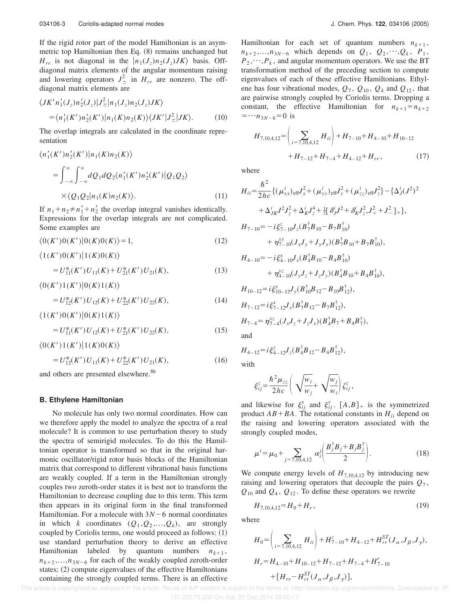If the rigid rotor part of the model Hamiltonian is an asymmetric top Hamiltonian then Eq.  $(8)$  remains unchanged but  $H_{rr}$  is not diagonal in the  $|n_1(J_z)n_2(J_z)JK\rangle$  basis. Offdiagonal matrix elements of the angular momentum raising and lowering operators  $J^2_{\pm}$  in  $H_{rr}$  are nonzero. The offdiagonal matrix elements are

$$
\langle JK'n'_1(J_z)n'_2(J_z)|J_{\pm}^2|n_1(J_z)n_2(J_z)JK\rangle
$$
  
=  $\langle n'_1(K')n'_2(K')|n_1(K)n_2(K)\rangle\langle JK'|J_{\pm}^2|JK\rangle.$  (10)

The overlap integrals are calculated in the coordinate representation

$$
\langle n'_1(K')n'_2(K')|n_1(K)n_2(K)\rangle
$$
  
= 
$$
\int_{-\infty}^{\infty} \int_{-\infty}^{\infty} dQ_1 dQ_2 \langle n'_1(K')n'_2(K')|Q_1Q_2\rangle
$$
  

$$
\times \langle Q_1Q_2|n_1(K)n_2(K)\rangle.
$$
 (11)

If  $n_1 + n_2 \neq n'_1 + n'_2$  the overlap integral vanishes identically. Expressions for the overlap integrals are not complicated. Some examples are

$$
\langle 0(K')0(K')|0(K)0(K)\rangle = 1,\tag{12}
$$

 $\langle 1(K')0(K')|1(K)0(K)\rangle$ 

$$
=U_{11}^*(K')U_{11}(K)+U_{21}^*(K')U_{21}(K),\tag{13}
$$

 $\langle 0(K')1(K')|0(K)1(K)\rangle$ 

$$
=U_{12}^*(K')U_{12}(K)+U_{22}^*(K')U_{22}(K),\tag{14}
$$

 $\langle 1(K')0(K')|0(K)1(K)\rangle$ 

$$
=U_{11}^*(K')U_{12}(K)+U_{21}^*(K')U_{22}(K),\tag{15}
$$

 $\langle 0(K')1(K')|1(K)0(K)\rangle$  $= U_{12}^*(K')U_{11}(K) + U_{22}^*(K')U_{21}(K),$  (16)

and others are presented elsewhere.<sup>8b</sup>

#### **B. Ethylene Hamiltonian**

No molecule has only two normal coordinates. How can we therefore apply the model to analyze the spectra of a real molecule? It is common to use perturbation theory to study the spectra of semirigid molecules. To do this the Hamiltonian operator is transformed so that in the original harmonic oscillator/rigid rotor basis blocks of the Hamiltonian matrix that correspond to different vibrational basis functions are weakly coupled. If a term in the Hamiltonian strongly couples two zeroth-order states it is best not to transform the Hamiltonian to decrease coupling due to this term. This term then appears in its original form in the final transformed Hamiltonian. For a molecule with  $3N-6$  normal coordinates in which *k* coordinates  $(Q_1, Q_2,..., Q_k)$ , are strongly coupled by Coriolis terms, one would proceed as follows:  $(1)$ use standard perturbation theory to derive an effective Hamiltonian labeled by quantum numbers  $n_{k+1}$ ,  $n_{k+2},...,n_{3N-6}$  for each of the weakly coupled zeroth-order states;  $(2)$  compute eigenvalues of the effective Hamiltonians containing the strongly coupled terms. There is an effective

Hamiltonian for each set of quantum numbers  $n_{k+1}$ ,  $n_{k+2},...,n_{3N-6}$  which depends on  $Q_1, Q_2,...,Q_k, P_1$  $P_2, \dots, P_k$ , and angular momentum operators. We use the BT transformation method of the preceding section to compute eigenvalues of each of these effective Hamiltonians. Ethylene has four vibrational modes,  $Q_7$ ,  $Q_{10}$ ,  $Q_4$  and  $Q_{12}$ , that are pairwise strongly coupled by Coriolis terms. Dropping a constant, the effective Hamiltonian for  $n_{k+1} = n_{k+2}$  $=$   $\cdots n_{3N-6}$  = 0 is

$$
H_{7,10,4,12} = \left(\sum_{i=7,10,4,12} H_{ii}\right) + H_{7-10} + H_{4-10} + H_{10-12}
$$

$$
+ H_{7-12} + H_{7-4} + H_{4-12} + H_{rr}, \tag{17}
$$

where

$$
H_{ii} = \frac{\hbar^2}{2hc} \{ (\mu_{xx}^i)_{\text{eff}} J_x^2 + (\mu_{yy}^i)_{\text{eff}} J_y^2 + (\mu_{zz}^i)_{\text{eff}} J_z^2 \} - \{ \Delta_J^i (J^2)^2
$$
  
+  $\Delta_{JK}^i J^2 J_z^2 + \Delta_K^i J_z^4 + \frac{1}{2} [\delta_J^i J^2 + \delta_K^i J_z^2, J_+^2 + J_-^2] + \},$   

$$
H_{7-10} = -i \xi_{7-10}^z J_z (B_T^{\dagger} B_{10} - B_T B_{10}^{\dagger})
$$
  
+  $\eta_{7-10}^{xy} (J_x J_y + J_y J_x) (B_T^{\dagger} B_{10} + B_T B_{10}^{\dagger}),$   

$$
H_{4-10} = -i \xi_{4-10}^x J_x (B_4^{\dagger} B_{10} - B_4 B_{10}^{\dagger})
$$
  
+  $\eta_{4-10}^{yz} (J_y J_z + J_z J_y) (B_4^{\dagger} B_{10} + B_4 B_{10}^{\dagger}),$   

$$
H_{10-12} = i \xi_{10-12}^y J_y (B_1^{\dagger} B_{12} - B_{10} B_{12}^{\dagger}),
$$
  

$$
H_{7-12} = i \xi_{7-12}^x J_x (B_T^{\dagger} B_{12} - B_T B_{12}^{\dagger}),
$$
  

$$
H_{7-4} = \eta_{7-4}^{xz} (J_x J_z + J_z J_x) (B_4^{\dagger} B_7 + B_4 B_7^{\dagger}),
$$
and

 $H_{4-12} = i \xi_{4-12}^z J_z (B_4^{\dagger} B_{12} - B_4 B_{12}^{\dagger}),$ with

$$
\xi_{ij}^z = \frac{\hbar^2 \mu_{zz}}{2hc} \left( \sqrt{\frac{w_i}{w_j}} + \sqrt{\frac{w_j}{w_i}} \right) \xi_{ij}^z,
$$

and likewise for  $\xi_{ij}^x$  and  $\xi_{ij}^y$ .  $[A,B]_+$  is the symmetrized product  $AB + BA$ . The rotational constants in  $H_{ii}$  depend on the raising and lowering operators associated with the strongly coupled modes,

$$
\mu^{i} = \mu_{0} + \sum_{j=7,10,4,12} \alpha_{i}^{j} \left( \frac{B_{j}^{\dagger} B_{j} + B_{j} B_{j}^{\dagger}}{2} \right). \tag{18}
$$

We compute energy levels of  $H_{7,10,4,12}$  by introducing new raising and lowering operators that decouple the pairs *Q*<sup>7</sup> ,  $Q_{10}$  and  $Q_4$ ,  $Q_{12}$ . To define these operators we rewrite

$$
H_{7,10,4,12} = H_0 + H_r, \t\t(19)
$$

where

$$
H_0 = \left(\sum_{i=7,10,4,12} H_{ii}\right) + H_{7-10}^z + H_{4-12} + H_{rr}^{ST}(J_\alpha, J_\beta, J_\gamma),
$$
  
\n
$$
H_r = H_{4-10} + H_{10-12} + H_{7-12} + H_{7-4} + H_{7-10}^r
$$
  
\n
$$
+ \left[H_{rr} - H_{rr}^{ST}(J_\alpha, J_\beta, J_\gamma)\right],
$$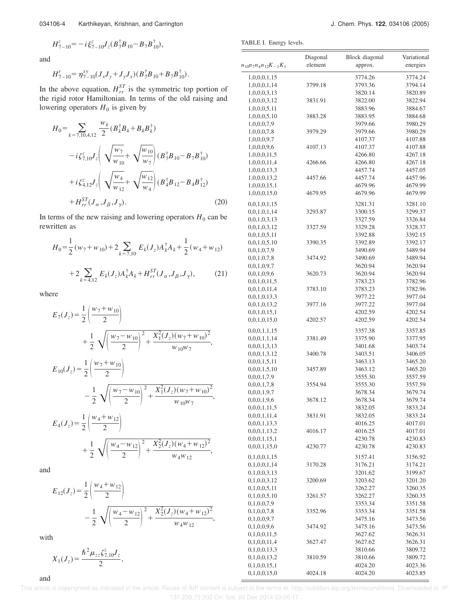and

$$
H_{7-10}^r = \eta_{7-10}^{xy} (J_x J_y + J_y J_x) (B_7^{\dagger} B_{10} + B_7 B_{10}^{\dagger}).
$$

In the above equation,  $H_{rr}^{ST}$  is the symmetric top portion of the rigid rotor Hamiltonian. In terms of the old raising and lowering operators  $H_0$  is given by

$$
H_0 = \sum_{k=7,10,4,12} \frac{w_k}{2} (B_k^{\dagger} B_k + B_k B_k^{\dagger})
$$
  
\n
$$
- i \zeta_{7,10}^z J_z \left( \sqrt{\frac{w_7}{w_{10}}} + \sqrt{\frac{w_{10}}{w_7}} \right) (B_T^{\dagger} B_{10} - B_T B_{10}^{\dagger})
$$
  
\n
$$
+ i \zeta_{4,12}^z J_z \left( \sqrt{\frac{w_4}{w_{12}}} + \sqrt{\frac{w_{12}}{w_4}} \right) (B_4^{\dagger} B_{12} - B_4 B_{12}^{\dagger})
$$
  
\n
$$
+ H_{rr}^{ST} (J_\alpha, J_\beta, J_\gamma).
$$
 (20)

In terms of the new raising and lowering operators  $H_0$  can be rewritten as

$$
H_0 = \frac{1}{2} (w_7 + w_{10}) + 2 \sum_{k=7,10} E_k (J_z) A_k^{\dagger} A_k + \frac{1}{2} (w_4 + w_{12})
$$
  
+2 $\sum_{k=4,12} E_k (J_z) A_k^{\dagger} A_k + H_{rr}^{ST} (J_\alpha, J_\beta, J_\gamma),$  (21)

where

$$
E_7(J_z) = \frac{1}{2} \left( \frac{w_7 + w_{10}}{2} \right)
$$
  
+ 
$$
\frac{1}{2} \sqrt{\left( \frac{w_7 - w_{10}}{2} \right)^2 + \frac{X_1^2(J_z)(w_7 + w_{10})^2}{w_{10}w_7}},
$$
  

$$
E_{10}(J_z) = \frac{1}{2} \left( \frac{w_7 + w_{10}}{2} \right)
$$
  
- 
$$
\frac{1}{2} \sqrt{\left( \frac{w_7 - w_{10}}{2} \right)^2 + \frac{X_1^2(J_z)(w_7 + w_{10})^2}{w_{10}w_7}},
$$

$$
E_4(J_z) = \frac{1}{2} \left( \frac{w_4 + w_{12}}{2} \right)
$$
  
+ 
$$
\frac{1}{2} \sqrt{\left( \frac{w_4 - w_{12}}{2} \right)^2 + \frac{X_2^2(J_z)(w_4 + w_{12})^2}{w_4 w_{12}}},
$$

and

$$
E_{12}(J_z) = \frac{1}{2} \left( \frac{w_4 + w_{12}}{2} \right)
$$
  
- 
$$
\frac{1}{2} \sqrt{\left( \frac{w_4 - w_{12}}{2} \right)^2 + \frac{X_2^2 (J_z) (w_4 + w_{12})^2}{w_4 w_{12}}},
$$

with

$$
X_1(J_z) = \frac{\hbar^2 \mu_{zz} \zeta_{7,10}^z J_z}{2},
$$

TABLE I. Energy levels.

| $n_{10}n_7n_4n_{12}K_{-1}K_1$ | Diagonal<br>element | <b>Block</b> diagonal<br>approx. | Variational<br>energies |  |
|-------------------------------|---------------------|----------------------------------|-------------------------|--|
| 1,0,0,0,1,15                  |                     | 3774.26                          | 3774.24                 |  |
| 1,0,0,0,1,14                  | 3799.18             | 3793.36                          | 3794.14                 |  |
| 1,0,0,0,3,13                  |                     | 3820.14                          | 3820.89                 |  |
| 1,0,0,0,3,12                  | 3831.91             | 3822.00                          | 3822.94                 |  |
| 1,0,0,0,5,11                  |                     | 3883.96                          | 3884.67                 |  |
| 1,0,0,0,5,10                  | 3883.28             | 3883.95                          | 3884.68                 |  |
| 1,0,0,0,7,9                   |                     | 3979.66                          | 3980.29                 |  |
| 1,0,0,0,7,8                   | 3979.29             | 3979.66                          | 3980.29                 |  |
| 1,0,0,0,9,7                   |                     | 4107.37                          | 4107.88                 |  |
| 1,0,0,0,9,6                   | 4107.13             | 4107.37                          | 4107.88                 |  |
| 1,0,0,0,11,5                  |                     | 4266.80                          | 4267.18                 |  |
| 1,0,0,0,11,4                  | 4266.66             | 4266.80                          | 4267.18                 |  |
| 1,0,0,0,13,3                  |                     | 4457.74                          | 4457.05                 |  |
| 1,0,0,0,13,2                  | 4457.66             | 4457.74                          | 4457.96                 |  |
| 1,0,0,0,15,1                  |                     | 4679.96                          | 4679.99                 |  |
| 1,0,0,0,15,0                  | 4679.95             | 4679.96                          | 4679.99                 |  |
| 0,0,1,0,1,15                  |                     | 3281.31                          | 3281.10                 |  |
| 0,0,1,0,1,14                  | 3293.87             | 3300.15                          | 3299.37                 |  |
| 0,0,1,0,3,13                  |                     | 3327.59                          | 3326.84                 |  |
| 0,0,1,0,3,12                  | 3327.59             | 3329.28                          | 3328.37                 |  |
| 0,0,1,0,5,11                  |                     | 3392.88                          | 3392.15                 |  |
| 0,0,1,0,5,10                  | 3390.35             | 3392.89                          | 3392.17                 |  |
| 0,0,1,0,7,9                   |                     | 3490.69                          | 3489.94                 |  |
| 0,0,1,0,7,8                   | 3474.92             | 3490.69                          | 3489.94                 |  |
| 0,0,1,0,9,7                   |                     | 3620.94                          | 3620.94                 |  |
| 0,0,1,0,9,6                   | 3620.73             | 3620.94                          | 3620.94                 |  |
| 0,0,1,0,11,5                  |                     | 3783.23                          | 3782.96                 |  |
| 0,0,1,0,11,4                  | 3783.10             | 3783.23                          | 3782.96                 |  |
| 0,0,1,0,13,3                  |                     | 3977.22                          | 3977.04                 |  |
| 0,0,1,0,13,2                  | 3977.16             | 3977.22                          | 3977.04                 |  |
| 0,0,1,0,15,1                  |                     | 4202.59                          | 4202.54                 |  |
| 0,0,1,0,15,0                  | 4202.57             | 4202.59                          | 4202.54                 |  |
| 0,0,0,1,1,15                  |                     | 3357.38                          | 3357.85                 |  |
| 0,0,0,1,1,14                  | 3381.49             | 3375.90                          | 3377.95                 |  |
| 0,0,0,1,3,13                  |                     | 3401.68                          | 3403.74                 |  |
| 0,0,0,1,3,12                  | 3400.78             | 3403.51                          | 3406.05                 |  |
| 0,0,0,1,5,11                  |                     | 3463.13                          | 3465.20                 |  |
| 0,0,0,1,5,10                  | 3457.89             | 3463.12                          | 3465.20                 |  |
| 0,0,0,1,7,9                   |                     | 3555.30                          | 3557.59                 |  |
| 0,0,0,1,7,8                   | 3554.94             | 3555.30                          | 3557.59                 |  |
| 0,0,0,1,9,7                   |                     | 3678.34                          | 3679.74                 |  |
| 0,0,0,1,9,6                   | 3678.12             | 3678.34                          | 3679.74                 |  |
| 0,0,0,1,11,5                  |                     | 3832.05                          | 3833.24                 |  |
| 0,0,0,1,11,4                  | 3831.91             | 3832.05                          | 3833.24                 |  |
| 0,0,0,1,13,3                  |                     | 4016.25                          | 4017.01                 |  |
| 0,0,0,1,13,2                  | 4016.17             | 4016.25                          | 4017.01                 |  |
| 0,0,0,1,15,1                  |                     | 4230.78                          | 4230.83                 |  |
| 0,0,0,1,15,0                  | 4230.77             | 4230.78                          | 4230.83                 |  |
| 0,1,0,0,1,15                  |                     | 3157.41                          | 3156.92                 |  |
| 0,1,0,0,1,14                  | 3170.28             | 3176.21                          | 3174.21                 |  |
| 0,1,0,0,3,13                  |                     | 3201.62                          | 3199.67                 |  |
| 0,1,0,0,3,12                  | 3200.69             | 3203.62                          | 3201.20                 |  |
| 0,1,0,0,5,11                  |                     | 3262.27                          | 3260.35                 |  |
| 0,1,0,0,5,10                  | 3261.57             | 3262.27                          | 3260.35                 |  |
| 0,1,0,0,7,9                   |                     | 3353.34                          | 3351.58                 |  |
| 0,1,0,0,7,8                   | 3352.96             | 3353.34                          | 3351.58                 |  |
| 0,1,0,0,9,7                   |                     | 3475.16                          | 3473.56                 |  |
| 0,1,0,0,9,6                   | 3474.92             | 3475.16                          | 3473.56                 |  |
| 0,1,0,0,11,5                  |                     | 3627.62                          | 3626.31                 |  |
| 0,1,0,0,11,4                  | 3627.47             | 3627.62                          | 3626.31                 |  |
| 0,1,0,0,13,3                  |                     | 3810.66                          | 3809.72                 |  |
| 0,1,0,0,13,2                  | 3810.59             | 3810.66                          | 3809.72                 |  |
| 0,1,0,0,15,1                  |                     | 4024.20                          | 4023.36                 |  |
| 0,1,0,0,15,0                  | 4024.18             | 4024.20                          | 4023.85                 |  |

and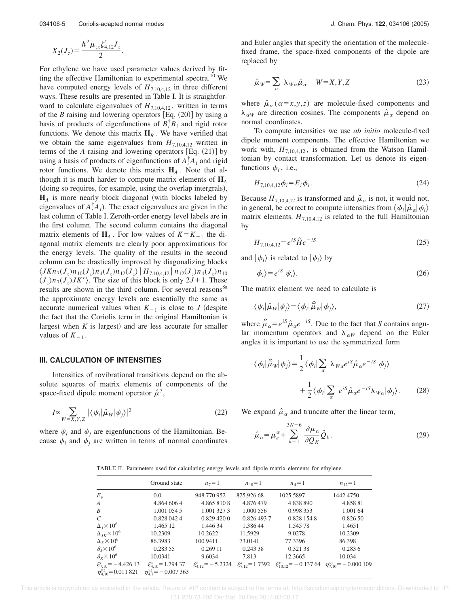.

$$
X_2(J_z) = \frac{\hbar^2 \mu_{zz} \zeta_{4,12}^z J_z}{2}
$$

For ethylene we have used parameter values derived by fitting the effective Hamiltonian to experimental spectra.<sup>10</sup> We have computed energy levels of  $H_{7,10,4,12}$  in three different ways. These results are presented in Table I. It is straightforward to calculate eigenvalues of  $H_{7,10,4,12}$ , written in terms of the *B* raising and lowering operators  $[Eq. (20)]$  by using a basis of products of eigenfunctions of  $B_i^{\dagger}B_i$  and rigid rotor functions. We denote this matrix  $H_B$ . We have verified that we obtain the same eigenvalues from  $H_{7,10,4,12}$  written in terms of the  $A$  raising and lowering operators  $[Eq. (21)]$  by using a basis of products of eigenfunctions of  $A_i^{\dagger} A_i$  and rigid rotor functions. We denote this matrix  $H_A$ . Note that although it is much harder to compute matrix elements of **H***<sup>A</sup>* (doing so requires, for example, using the overlap intergrals),  $H_A$  is more nearly block diagonal (with blocks labeled by eigenvalues of  $A_i^{\dagger} A_i$ ). The exact eigenvalues are given in the last column of Table I. Zeroth-order energy level labels are in the first column. The second column contains the diagonal matrix elements of  $H_A$ . For low values of  $K = K_{-1}$  the diagonal matrix elements are clearly poor approximations for the energy levels. The quality of the results in the second column can be drastically improved by diagonalizing blocks  $\langle JKn_7(J_z)n_{10}(J_z)n_4(J_z)n_{12}(J_z) | H_{7,10,4,12} | n_{12}(J_z)n_4(J_z)n_{10}$  $(J_z)n_7(\tilde{J_z})JK'$ ). The size of this block is only  $2\tilde{J}+1$ . These results are shown in the third column. For several reasons<sup>8a</sup> the approximate energy levels are essentially the same as accurate numerical values when  $K_{-1}$  is close to *J* (despite the fact that the Coriolis term in the original Hamiltonian is largest when  $K$  is largest) and are less accurate for smaller values of  $K_{-1}$ .

#### **III. CALCULATION OF INTENSITIES**

Intensities of rovibrational transitions depend on the absolute squares of matrix elements of components of the space-fixed dipole moment operator  $\hat{\mu}^7$ ,

$$
I \propto \sum_{W=X,Y,Z} |\langle \psi_i | \hat{\mu}_W | \psi_j \rangle|^2 \tag{22}
$$

where  $\psi_i$  and  $\psi_j$  are eigenfunctions of the Hamiltonian. Because  $\psi_i$  and  $\psi_j$  are written in terms of normal coordinates and Euler angles that specify the orientation of the moleculefixed frame, the space-fixed components of the dipole are replaced by

$$
\hat{\mu}_W = \sum_{\alpha} \lambda_{W\alpha} \hat{\mu}_{\alpha} \qquad W = X, Y, Z \tag{23}
$$

where  $\hat{\mu}_{\alpha}(\alpha=x,y,z)$  are molecule-fixed components and  $\lambda_{\alpha W}$  are direction cosines. The components  $\hat{\mu}_{\alpha}$  depend on normal coordinates.

To compute intensities we use *ab initio* molecule-fixed dipole moment components. The effective Hamiltonian we work with,  $H_{7,10,4,12}$ , is obtained from the Watson Hamiltonian by contact transformation. Let us denote its eigenfunctions  $\phi_i$ , i.e.,

$$
H_{7,10,4,12}\phi_i = E_i \phi_i \,. \tag{24}
$$

Because  $H_{7,10,4,12}$  is transformed and  $\hat{\mu}_{\alpha}$  is not, it would not, in general, be correct to compute intensities from  $\langle \phi_i | \hat{\mu}_\alpha | \phi_i \rangle$ matrix elements.  $H_{7,10,4,12}$  is related to the full Hamiltonian by

$$
H_{7,10,4,12} = e^{iS} \hat{H} e^{-iS}
$$
 (25)

and  $|\phi_i\rangle$  is related to  $|\psi_i\rangle$  by

$$
|\phi_i\rangle = e^{iS}|\psi_i\rangle. \tag{26}
$$

The matrix element we need to calculate is

$$
\langle \psi_i | \hat{\mu}_W | \psi_j \rangle = \langle \phi_i | \hat{\tilde{\mu}}_W | \phi_j \rangle, \tag{27}
$$

where  $\hat{\vec{\mu}}_{\alpha} = e^{iS} \hat{\mu}_{\alpha} e^{-iS}$ . Due to the fact that *S* contains angular momentum operators and  $\lambda_{\alpha W}$  depend on the Euler angles it is important to use the symmetrized form

$$
\langle \phi_i | \hat{\tilde{\mu}}_W | \phi_j \rangle = \frac{1}{2} \langle \phi_i | \sum_{\alpha} \lambda_{W\alpha} e^{iS} \hat{\mu}_{\alpha} e^{-iS} | \phi_j \rangle
$$

$$
+ \frac{1}{2} \langle \phi_i | \sum_{\alpha} e^{iS} \hat{\mu}_{\alpha} e^{-iS} \lambda_{W\alpha} | \phi_j \rangle. \qquad (28)
$$

We expand  $\hat{\mu}_{\alpha}$  and truncate after the linear term,

$$
\hat{\mu}_{\alpha} = \mu_{e}^{\alpha} + \sum_{k=1}^{3N-6} \frac{\partial \mu_{\alpha}}{\partial Q_{K}} \hat{Q}_{k}.
$$
\n(29)

TABLE II. Parameters used for calculating energy levels and dipole matrix elements for ethylene.

|                                        | Ground state                   | $n_7 = 1$               | $n_{10} = 1$           | $n_4 = 1$   | $n_{12} = 1$                                                         |
|----------------------------------------|--------------------------------|-------------------------|------------------------|-------------|----------------------------------------------------------------------|
| $E_v$                                  | 0.0                            | 948.770952              | 825.926 68             | 1025.5897   | 1442.4750                                                            |
| А                                      | 4.864 606 4                    | 4.865 810 8             | 4.876 479              | 4.838 890   | 4.85881                                                              |
| В                                      | 1.001 054 5                    | 1.001 327 3             | 1.000 556              | 0.998 353   | 1.001 64                                                             |
| C                                      | 0.828 042 4                    | 0.8294200               | 0.826 493 7            | 0.828 154 8 | 0.826 50                                                             |
| $\Delta_J \times 10^6$                 | 1.465 12                       | 1.44634                 | 1.38644                | 1.545 78    | 1.4651                                                               |
| $\Delta_{JK}$ $\times$ 10 <sup>6</sup> | 10.2309                        | 10.2622                 | 11.5929                | 9.0278      | 10.2309                                                              |
| $\Delta_K$ ×10 <sup>6</sup>            | 86.3983                        | 100.9411                | 73.0141                | 77.3396     | 86.398                                                               |
| $\delta_1 \times 10^6$                 | 0.283 55                       | 0.269 11                | 0.243 38               | 0.32138     | 0.2836                                                               |
| $\delta_K\times10^6$                   | 10.0341                        | 9.6034                  | 7.813                  | 12.3665     | 10.034                                                               |
| $\xi_{7,10}^{z}$ = -4.426 13           | $\xi_{4.10}^{x}$ = 1.794 37    | $\xi_{412}^z = -5.2324$ | $\xi_{712}^x = 1.7392$ |             | $\xi_{10\;12}^{y} = -0.137\;64\quad \eta_{7\;10}^{xy} = -0.000\;109$ |
| $\eta_{4.10}^{\text{yz}}$ = 0.011 821  | $\eta_{4.7}^{xz}$ = -0.007 363 |                         |                        |             |                                                                      |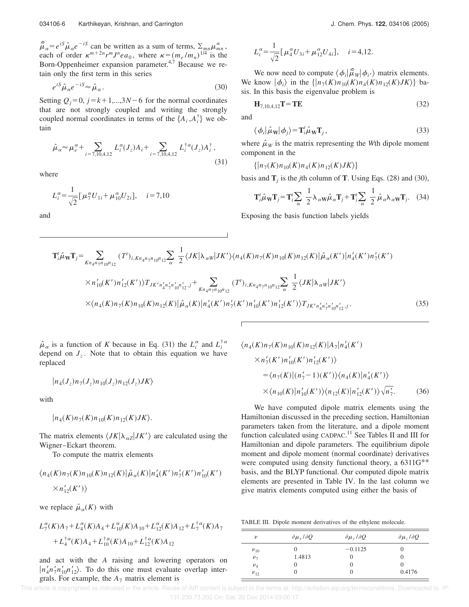$\hat{\vec{\mu}}_{\alpha} = e^{iS} \hat{\mu}_{\alpha} e^{-iS}$  can be written as a sum of terms,  $\Sigma_{mn} \mu_{mn}^{\alpha}$ , each of order  $\kappa^{m+2n} r^m J^n e a_0$ , where  $\kappa = (m_e/m_n)^{1/4}$  is the Born-Oppenheimer expansion parameter.<sup>4,7</sup> Because we retain only the first term in this series

$$
e^{iS}\hat{\mu}_{\alpha}e^{-iS} \approx \hat{\mu}_{\alpha}.
$$
\n(30)

Setting  $Q_i=0$ ,  $j=k+1,...,3N-6$  for the normal coordinates that are not strongly coupled and writing the strongly coupled normal coordinates in terms of the  $\{A_i, A_i^{\dagger}\}\$ we obtain

$$
\hat{\mu}_{\alpha} \approx \mu_{e}^{\alpha} + \sum_{i=7,10,4,12} L_{i}^{\alpha}(J_{z})A_{i} + \sum_{i=7,10,4,12} L_{i}^{\dagger \alpha}(J_{z})A_{i}^{\dagger}, \tag{31}
$$

where

$$
L_i^{\alpha} = \frac{1}{\sqrt{2}} [\mu_7^{\alpha} U_{1i} + \mu_{10}^{\alpha} U_{2i}], \quad i = 7,10
$$

and

$$
L_i^{\alpha} = \frac{1}{\sqrt{2}} [\mu_4^{\alpha} U_{3i} + \mu_{12}^{\alpha} U_{4i}], \quad i = 4, 12.
$$

We now need to compute  $\langle \phi_i | \hat{\vec{\mu}}_w | \phi_i \rangle$  matrix elements. We know  $|\phi_i\rangle$  in the  $\{|n_7(K)n_{10}(K)n_4(K)n_{12}(K)JK\rangle\}$  basis. In this basis the eigenvalue problem is

$$
\mathbf{H}_{7,10,4,12}\mathbf{T} = \mathbf{T}\mathbf{E}
$$
 (32)

and

$$
\langle \phi_i | \hat{\mu}_W | \phi_j \rangle = T_i^t \hat{\mu}_W T_j, \qquad (33)
$$

where  $\hat{\mu}_W$  is the matrix representing the *W*th dipole moment component in the

$$
\{|n_7(K)n_{10}(K)n_4(K)n_{12}(K)JK\rangle\}
$$

basis and  $\mathbf{T}_j$  is the *j*th column of **T**. Using Eqs. (28) and (30),

$$
\mathbf{T}_{i}^{\prime}\hat{\mu}_{\mathbf{W}}\mathbf{T}_{j} = \mathbf{T}_{i}^{\prime}\sum_{\alpha}\frac{1}{2}\lambda_{\alpha\mathbf{W}}\hat{\mu}_{\alpha}\mathbf{T}_{j} + \mathbf{T}_{i}^{\prime}\sum_{\alpha}\frac{1}{2}\hat{\mu}_{\alpha}\lambda_{\alpha\mathbf{W}}\mathbf{T}_{j}.
$$
 (34)

Exposing the basis function labels yields

$$
\mathbf{T}_{i}^{t}\hat{\mu}_{\mathbf{W}}\mathbf{T}_{j} = \sum_{Kn_{4}n_{7}n_{10}n_{12}} (T^{t})_{i,Kn_{4}n_{7}n_{10}n_{12}} \sum_{\alpha} \frac{1}{2} \langle JK|\lambda_{\alpha\mathbf{W}}|JK'\rangle \langle n_{4}(K)n_{7}(K)n_{10}(K)n_{12}(K)|\hat{\mu}_{\alpha}(K')|n_{4}'(K')n_{7}'(K')\rangle
$$
  
\n
$$
\times n_{10}'(K')n_{12}'(K')\rangle T_{JK'n_{4}n_{7}n_{10}n_{12}j} + \sum_{Kn_{4}n_{7}n_{10}n_{12}} (T^{t})_{i,Kn_{4}n_{7}n_{10}n_{12}} \sum_{\alpha} \frac{1}{2} \langle JK|\lambda_{\alpha\mathbf{W}}|JK'\rangle
$$
  
\n
$$
\times \langle n_{4}(K)n_{7}(K)n_{10}(K)n_{12}(K)|\hat{\mu}_{\alpha}(K)|n_{4}'(K')n_{7}'(K')n_{10}'(K')n_{12}'(K')\rangle T_{JK'n_{4}n_{7}n_{10}n_{12}j}.
$$
\n(35)

 $\hat{\mu}_{\alpha}$  is a function of *K* because in Eq. (31) the  $L_i^{\alpha}$  and  $L_i^{\dagger \alpha}$ depend on  $J_z$ . Note that to obtain this equation we have replaced

$$
\left|n_4(J_z)n_7(J_z)n_{10}(J_z)n_{12}(J_z)JK\right>
$$

with

$$
|n_4(K)n_7(K)n_{10}(K)n_{12}(K)JK\rangle.
$$

The matrix elements  $\langle JK | \lambda_{\alpha Z} | JK' \rangle$  are calculated using the Wigner–Eckart theorem.

To compute the matrix elements

$$
\langle n_4(K)n_7(K)n_{10}(K)n_{12}(K)|\hat{\mu}_{\alpha}(K)|n'_4(K')n'_7(K')n'_{10}(K')\times n'_{12}(K')\rangle
$$

we replace  $\hat{\mu}_{\alpha}(K)$  with

$$
L_7^{\alpha}(K)A_7 + L_4^{\alpha}(K)A_4 + L_{10}^{\alpha}(K)A_{10} + L_{12}^{\alpha}(K)A_{12} + L_7^{\dagger\alpha}(K)A_7
$$
  
+ 
$$
L_4^{\dagger\alpha}(K)A_4 + L_{10}^{\dagger\alpha}(K)A_{10} + L_{12}^{\dagger\alpha}(K)A_{12}
$$

and act with the *A* raising and lowering operators on  $|n_4'n_7'n_{10}'n_{12}'\rangle$ . To do this one must evaluate overlap intergrals. For example, the  $A_7$  matrix element is

$$
\langle n_4(K)n_7(K)n_{10}(K)n_{12}(K)|A_7|n_4'(K')
$$
  
\n
$$
\times n_7'(K')n_{10}'(K')n_{12}'(K')\rangle
$$
  
\n
$$
= \langle n_7(K)| (n_7'-1)(K') \rangle \langle n_4(K)|n_4'(K') \rangle
$$
  
\n
$$
\times \langle n_{10}(K)|n_{10}'(K') \rangle \langle n_{12}(K)|n_{12}'(K') \rangle \sqrt{n_7'}. \qquad (36)
$$

We have computed dipole matrix elements using the Hamiltonian discussed in the preceding section, Hamiltonian parameters taken from the literature, and a dipole moment function calculated using CADPAC.<sup>11</sup> See Tables II and III for Hamiltonian and dipole parameters. The equilibrium dipole moment and dipole moment (normal coordinate) derivatives were computed using density functional theory, a 6311G<sup>\*\*</sup> basis, and the BLYP functional. Our computed dipole matrix elements are presented in Table IV. In the last column we give matrix elements computed using either the basis of

TABLE III. Dipole moment derivatives of the ethylene molecule.

| $\boldsymbol{\nu}$ | $\partial \mu_r / \partial Q$ | $\partial \mu_{v}/\partial Q$ | $\partial \mu$ , $\partial Q$ |
|--------------------|-------------------------------|-------------------------------|-------------------------------|
| $v_{10}$           |                               | $-0.1125$                     |                               |
| $\nu_{7}$          | 1.4813                        | O                             |                               |
| $v_4$              |                               |                               |                               |
| $v_{12}$           |                               |                               | 0.4176                        |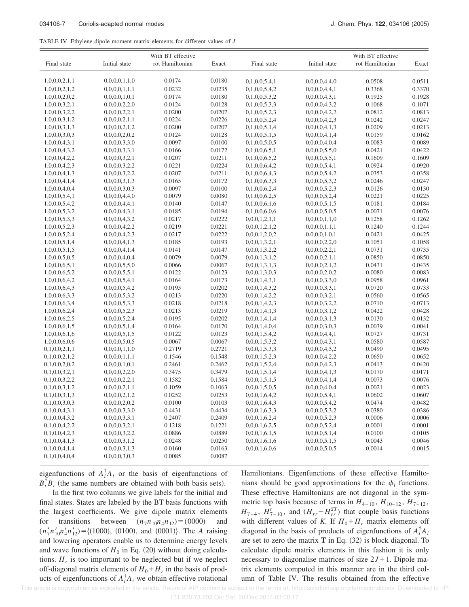| TABLE IV. Ethylene dipole moment matrix elements for different values of J. |  |
|-----------------------------------------------------------------------------|--|
|-----------------------------------------------------------------------------|--|

|               |               | With BT effective |        |               |               | With BT effective |        |
|---------------|---------------|-------------------|--------|---------------|---------------|-------------------|--------|
| Final state   | Initial state | rot Hamiltonian   | Exact  | Final state   | Initial state | rot Hamiltonian   | Exact  |
| 1,0,0,0,2,1,1 | 0,0,0,0,1,1,0 | 0.0174            | 0.0180 | 0,1,0,0,5,4,1 | 0,0,0,0,4,4,0 | 0.0508            | 0.0511 |
| 1,0,0,0,2,1,2 | 0,0,0,0,1,1,1 | 0.0232            | 0.0235 | 0,1,0,0,5,4,2 | 0,0,0,0,4,4,1 | 0.3368            | 0.3370 |
| 1,0,0,0,2,0,2 | 0,0,0,0,1,0,1 | 0.0174            | 0.0180 | 0,1,0,0,5,3,2 | 0,0,0,0,4,3,1 | 0.1925            | 0.1928 |
| 1,0,0,0,3,2,1 | 0,0,0,0,2,2,0 | 0.0124            | 0.0128 | 0,1,0,0,5,3,3 | 0,0,0,0,4,3,2 | 0.1068            | 0.1071 |
| 1,0,0,0,3,2,2 | 0,0,0,0,2,2,1 | 0.0200            | 0.0207 | 0,1,0,0,5,2,3 | 0,0,0,0,4,2,2 | 0.0812            | 0.0813 |
| 1,0,0,0,3,1,2 | 0,0,0,0,2,1,1 | 0.0224            | 0.0226 | 0,1,0,0,5,2,4 | 0,0,0,0,4,2,3 | 0.0242            | 0.0247 |
| 1,0,0,0,3,1,3 | 0,0,0,0,2,1,2 | 0.0200            | 0.0207 | 0,1,0,0,5,1,4 | 0,0,0,0,4,1,3 | 0.0209            | 0.0213 |
| 1,0,0,0,3,0,3 | 0,0,0,0,2,0,2 | 0.0124            | 0.0128 | 0,1,0,0,5,1,5 | 0,0,0,0,4,1,4 | 0.0159            | 0.0162 |
| 1,0,0,0,4,3,1 | 0,0,0,0,3,3,0 | 0.0097            | 0.0100 | 0,1,0,0,5,0,5 | 0,0,0,0,4,0,4 | 0.0083            | 0.0089 |
| 1,0,0,0,4,3,2 | 0,0,0,0,3,3,1 | 0.0166            | 0.0172 | 0,1,0,0,6,5,1 | 0,0,0,0,5,5,0 | 0.0421            | 0.0422 |
|               | 0,0,0,0,3,2,1 | 0.0207            | 0.0211 | 0,1,0,0,6,5,2 | 0,0,0,0,5,5,1 | 0.1609            | 0.1609 |
| 1,0,0,0,4,2,2 |               | 0.0221            | 0.0224 |               |               | 0.0924            | 0.0920 |
| 1,0,0,0,4,2,3 | 0,0,0,0,3,2,2 |                   |        | 0,1,0,0,6,4,2 | 0,0,0,0,5,4,1 |                   |        |
| 1,0,0,0,4,1,3 | 0,0,0,0,3,2,2 | 0.0207            | 0.0211 | 0,1,0,0,6,4,3 | 0,0,0,0,5,4,2 | 0.0353            | 0.0358 |
| 1,0,0,0,4,1,4 | 0,0,0,0,3,1,3 | 0.0165            | 0.0172 | 0,1,0,0,6,3,3 | 0,0,0,0,5,3,2 | 0.0246            | 0.0247 |
| 1,0,0,0,4,0,4 | 0,0,0,0,3,0,3 | 0.0097            | 0.0100 | 0,1,0,0,6,2,4 | 0,0,0,0,5,2,3 | 0.0126            | 0.0130 |
| 1,0,0,0,5,4,1 | 0,0,0,0,4,4,0 | 0.0079            | 0.0080 | 0,1,0,0,6,2,5 | 0,0,0,0,5,2,4 | 0.0221            | 0.0225 |
| 1,0,0,0,5,4,2 | 0,0,0,0,4,4,1 | 0.0140            | 0.0147 | 0,1,0,0,6,1,6 | 0,0,0,0,5,1,5 | 0.0181            | 0.0184 |
| 1,0,0,0,5,3,2 | 0,0,0,0,4,3,1 | 0.0185            | 0.0194 | 0,1,0,0,6,0,6 | 0,0,0,0,5,0,5 | 0.0071            | 0.0076 |
| 1,0,0,0,5,3,3 | 0,0,0,0,4,3,2 | 0.0217            | 0.0222 | 0,0,0,1,2,1,1 | 0,0,0,0,1,1,0 | 0.1258            | 0.1262 |
| 1,0,0,0,5,2,3 | 0,0,0,0,4,2,2 | 0.0219            | 0.0221 | 0,0,0,1,2,1,2 | 0,0,0,0,1,1,1 | 0.1240            | 0.1244 |
| 1,0,0,0,5,2,4 | 0,0,0,0,4,2,3 | 0.0217            | 0.0222 | 0,0,0,1,2,0,2 | 0,0,0,0,1,0,1 | 0.0421            | 0.0425 |
| 1,0,0,0,5,1,4 | 0,0,0,0,4,1,3 | 0.0185            | 0.0193 | 0,0,0,1,3,2,1 | 0,0,0,0,2,2,0 | 0.1051            | 0.1058 |
| 1,0,0,0,5,1,5 | 0,0,0,0,4,1,4 | 0.0141            | 0.0147 | 0,0,0,1,3,2,2 | 0,0,0,0,2,2,1 | 0.0731            | 0.0735 |
| 1,0,0,0,5,0,5 | 0,0,0,0,4,0,4 | 0.0079            | 0.0079 | 0,0,0,1,3,1,2 | 0,0,0,0,2,1,1 | 0.0850            | 0.0850 |
| 1,0,0,0,6,5,1 | 0,0,0,0,5,5,0 | 0.0066            | 0.0067 | 0,0,0,1,3,1,3 | 0,0,0,0,2,1,2 | 0.0431            | 0.0435 |
| 1,0,0,0,6,5,2 | 0,0,0,0,5,5,1 | 0.0122            | 0.0123 | 0,0,0,1,3,0,3 | 0,0,0,0,2,0,2 | 0.0080            | 0.0083 |
| 1,0,0,0,6,4,2 | 0,0,0,0,5,4,1 | 0.0164            | 0.0173 | 0,0,0,1,4,3,1 | 0,0,0,0,3,3,0 | 0.0958            | 0.0961 |
| 1,0,0,0,6,4,3 | 0,0,0,0,5,4,2 | 0.0195            | 0.0202 | 0,0,0,1,4,3,2 | 0,0,0,0,3,3,1 | 0.0720            | 0.0733 |
| 1,0,0,0,6,3,3 | 0,0,0,0,5,3,2 | 0.0213            | 0.0220 | 0,0,0,1,4,2,2 | 0,0,0,0,3,2,1 | 0.0560            | 0.0565 |
| 1,0,0,0,6,3,4 | 0,0,0,0,5,3,3 | 0.0218            | 0.0218 | 0,0,0,1,4,2,3 | 0,0,0,0,3,2,2 | 0.0710            | 0.0713 |
| 1,0,0,0,6,2,4 | 0,0,0,0,5,2,3 | 0.0213            | 0.0219 | 0,0,0,1,4,1,3 | 0,0,0,0,3,1,2 | 0.0422            | 0.0428 |
| 1,0,0,0,6,2,5 | 0,0,0,0,5,2,4 | 0.0195            | 0.0202 | 0,0,0,1,4,1,4 | 0,0,0,0,3,1,3 | 0.0130            | 0.0132 |
| 1,0,0,0,6,1,5 | 0,0,0,0,5,1,4 | 0.0164            | 0.0170 | 0,0,0,1,4,0,4 | 0,0,0,0,3,0,3 | 0.0039            | 0.0041 |
| 1,0,0,0,6,1,6 | 0,0,0,0,5,1,5 | 0.0122            | 0.0123 | 0,0,0,1,5,4,2 | 0,0,0,0,4,4,1 | 0.0727            | 0.0731 |
| 1,0,0,0,6,0,6 | 0,0,0,0,5,0,5 | 0.0067            | 0.0067 | 0,0,0,1,5,3,2 | 0,0,0,0,4,3,1 | 0.0580            | 0.0587 |
| 0,1,0,0,2,1,1 | 0,0,0,0,1,1,0 | 0.2719            | 0.2721 | 0,0,0,1,5,3,3 | 0,0,0,0,4,3,2 | 0.0490            | 0.0495 |
| 0,1,0,0,2,1,2 | 0,0,0,0,1,1,1 | 0.1546            | 0.1548 | 0,0,0,1,5,2,3 | 0,0,0,0,4,2,2 | 0.0650            | 0.0652 |
| 0,1,0,0,2,0,2 | 0,0,0,0,1,0,1 | 0.2461            | 0.2462 | 0,0,0,1,5,2,4 | 0,0,0,0,4,2,3 | 0.0413            | 0.0420 |
| 0,1,0,0,3,2,1 | 0,0,0,0,2,2,0 | 0.3475            | 0.3479 | 0,0,0,1,5,1,4 | 0,0,0,0,4,1,3 | 0.0170            | 0.0171 |
| 0,1,0,0,3,2,2 | 0,0,0,0,2,2,1 | 0.1582            | 0.1584 | 0,0,0,1,5,1,5 | 0,0,0,0,4,1,4 | 0.0073            | 0.0076 |
| 0,1,0,0,3,1,2 | 0,0,0,0,2,1,1 | 0.1059            | 0.1063 | 0,0,0,1,5,0,5 | 0,0,0,0,4,0,4 | 0.0021            | 0.0023 |
| 0,1,0,0,3,1,3 | 0,0,0,0,2,1,2 | 0.0252            | 0.0253 | 0,0,0,1,6,4,2 | 0,0,0,0,5,4,1 | 0.0602            | 0.0607 |
| 0,1,0,0,3,0,3 | 0,0,0,0,2,0,2 | 0.0100            | 0.0103 | 0,0,0,1,6,4,3 | 0,0,0,0,5,4,2 | 0.0474            | 0.0482 |
| 0,1,0,0,4,3,1 | 0,0,0,0,3,3,0 | 0.4431            | 0.4434 | 0,0,0,1,6,3,3 | 0,0,0,0,5,3,2 | 0.0380            | 0.0386 |
| 0,1,0,0,4,3,2 | 0,0,0,0,3,3,1 | 0.2407            | 0.2409 | 0,0,0,1,6,2,4 | 0,0,0,0,5,2,3 | 0.0006            | 0.0006 |
| 0,1,0,0,4,2,2 | 0,0,0,0,3,2,1 | 0.1218            | 0.1221 | 0,0,0,1,6,2,5 | 0,0,0,0,5,2,4 | 0.0001            | 0.0001 |
| 0,1,0,0,4,2,3 | 0,0,0,0,3,2,2 | 0.0886            | 0.0889 | 0,0,0,1,6,1,5 | 0,0,0,0,5,1,4 | 0.0100            | 0.0105 |
| 0,1,0,0,4,1,3 | 0,0,0,0,3,1,2 | 0.0248            | 0.0250 | 0,0,0,1,6,1,6 | 0,0,0,0,5,1,5 | 0.0043            | 0.0046 |
| 0,1,0,0,4,1,4 | 0,0,0,0,3,1,3 | 0.0160            | 0.0163 | 0,0,0,1,6,0,6 | 0,0,0,0,5,0,5 | 0.0014            | 0.0015 |
| 0,1,0,0,4,0,4 | 0,0,0,0,3,0,3 | 0.0085            | 0.0087 |               |               |                   |        |

eigenfunctions of  $A_i^{\dagger} A_i$  or the basis of eigenfunctions of  $B_i^{\dagger} B_i$  (the same numbers are obtained with both basis sets).

In the first two columns we give labels for the initial and final states. States are labeled by the BT basis functions with the largest coefficients. We give dipole matrix elements for transitions between  $(n_7n_{10}n_4n_{12}) = (0000)$  and  $(n'_7n'_{10}n'_4n'_{12}) = \{(1000), (0100), \text{ and } (0001)\}.$  The *A* raising and lowering operators enable us to determine energy levels and wave functions of  $H_0$  in Eq. (20) without doing calculations.  $H_r$  is too important to be neglected but if we neglect off-diagonal matrix elements of  $H_0 + H_r$  in the basis of products of eigenfunctions of  $A_i^{\dagger} A_i$  we obtain effective rotational Hamiltonians. Eigenfunctions of these effective Hamiltonians should be good approximations for the  $\phi_i$  functions. These effective Hamiltonians are not diagonal in the symmetric top basis because of terms in  $H_{4-10}$ ,  $H_{10-12}$ ,  $H_{7-12}$ ,  $H_{7-4}$ ,  $H_{7-10}^r$ , and  $(H_{rr} - H_{rr}^{ST})$  that couple basis functions with different values of *K*. If  $H_0 + H_r$  matrix elements off diagonal in the basis of products of eigenfunctions of  $A_i^{\dagger} A_i$ are set to zero the matrix  $T$  in Eq.  $(32)$  is block diagonal. To calculate dipole matrix elements in this fashion it is only necessary to diagonalise matrices of size  $2J+1$ . Dipole matrix elements computed in this manner are in the third column of Table IV. The results obtained from the effective